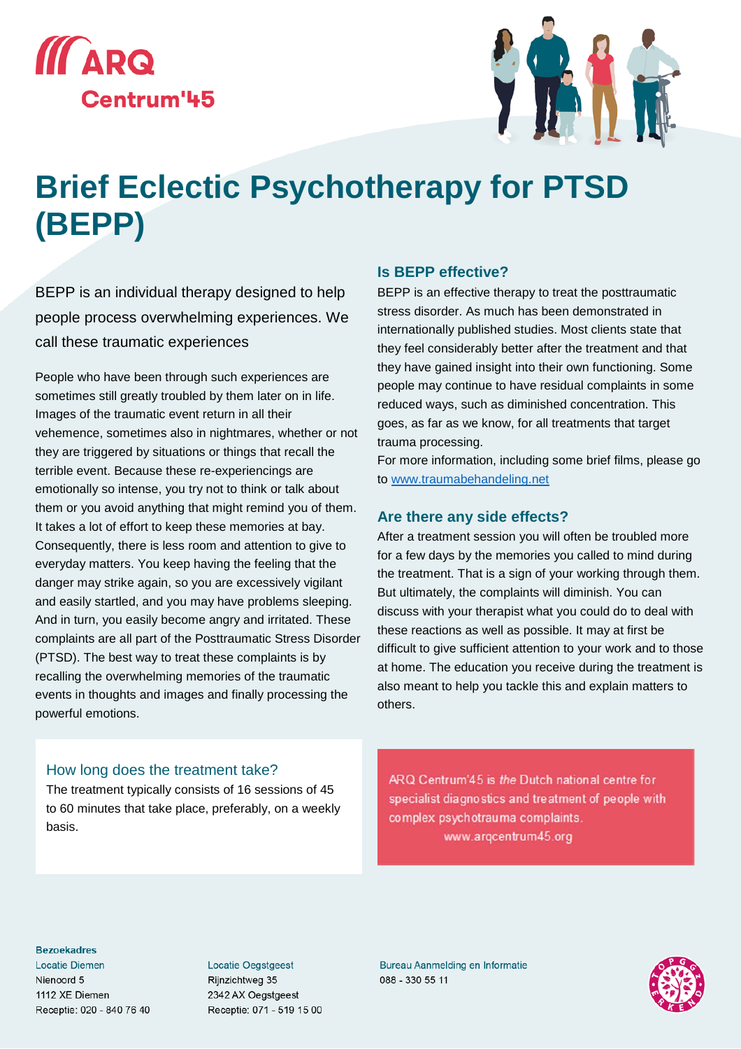



# **Brief Eclectic Psychotherapy for PTSD (BEPP)**

BEPP is an individual therapy designed to help people process overwhelming experiences. We call these traumatic experiences

People who have been through such experiences are sometimes still greatly troubled by them later on in life. Images of the traumatic event return in all their vehemence, sometimes also in nightmares, whether or not they are triggered by situations or things that recall the terrible event. Because these re-experiencings are emotionally so intense, you try not to think or talk about them or you avoid anything that might remind you of them. It takes a lot of effort to keep these memories at bay. Consequently, there is less room and attention to give to everyday matters. You keep having the feeling that the danger may strike again, so you are excessively vigilant and easily startled, and you may have problems sleeping. And in turn, you easily become angry and irritated. These complaints are all part of the Posttraumatic Stress Disorder (PTSD). The best way to treat these complaints is by recalling the overwhelming memories of the traumatic events in thoughts and images and finally processing the powerful emotions.

#### **Is BEPP effective?**

BEPP is an effective therapy to treat the posttraumatic stress disorder. As much has been demonstrated in internationally published studies. Most clients state that they feel considerably better after the treatment and that they have gained insight into their own functioning. Some people may continue to have residual complaints in some reduced ways, such as diminished concentration. This goes, as far as we know, for all treatments that target trauma processing.

For more information, including some brief films, please go to [www.traumabehandeling.net](http://www.traumabehandeling.net/)

### **Are there any side effects?**

After a treatment session you will often be troubled more for a few days by the memories you called to mind during the treatment. That is a sign of your working through them. But ultimately, the complaints will diminish. You can discuss with your therapist what you could do to deal with these reactions as well as possible. It may at first be difficult to give sufficient attention to your work and to those at home. The education you receive during the treatment is also meant to help you tackle this and explain matters to others.

#### How long does the treatment take?

The treatment typically consists of 16 sessions of 45 to 60 minutes that take place, preferably, on a weekly basis.

ARQ Centrum'45 is the Dutch national centre for specialist diagnostics and treatment of people with complex psychotrauma complaints. www.argcentrum45.org

#### **Bezoekadres**

**Locatie Diemen** Nienoord 5 1112 XE Diemen Receptie: 020 - 840 76 40 **Locatie Oegstgeest** Rijnzichtweg 35 2342 AX Oegstgeest Receptie: 071 - 519 15 00

**Bureau Aanmelding en Informatie** 088 - 330 55 11